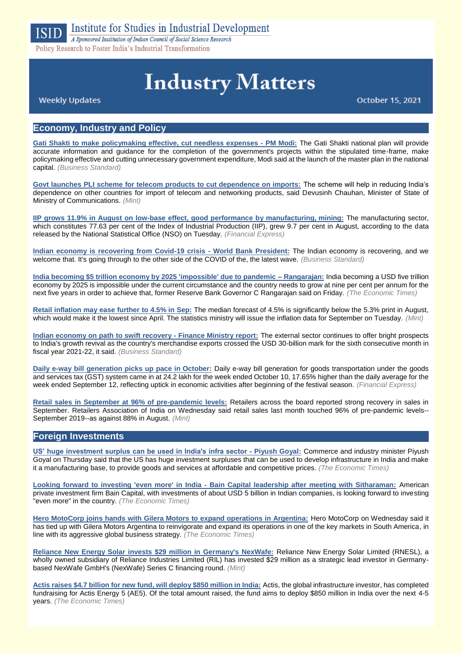

Policy Research to Foster India's Industrial Transformation

# **Industry Matters**

October 15, 2021

**Weekly Updates** 

# **Economy, Industry and Policy**

**[Gati Shakti to make policymaking effective, cut needless expenses -](https://www.business-standard.com/article/economy-policy/gati-shakti-to-make-policymaking-effective-cut-needless-expenses-pm-modi-121101301006_1.html) PM Modi:** The Gati Shakti national plan will provide accurate information and guidance for the completion of the government's projects within the stipulated time-frame, make policymaking effective and cutting unnecessary government expenditure, Modi said at the launch of the master plan in the national capital. *(Business Standard)*

**[Govt launches PLI scheme for telecom products to cut dependence on imports:](https://www.livemint.com/news/india/govt-launches-pli-scheme-for-telecom-products-to-cut-dependence-on-imports-details-11634207059941.html)** The scheme will help in reducing India's dependence on other countries for import of telecom and networking products, said Devusinh Chauhan, Minister of State of Ministry of Communications. *(Mint)*

**[IIP grows 11.9% in August on low-base effect, good performance by manufacturing,](https://www.financialexpress.com/economy/industrial-production-grows-11-9-in-august/2348812/) mining:** The manufacturing sector, which constitutes 77.63 per cent of the Index of Industrial Production (IIP), grew 9.7 per cent in August, according to the data released by the National Statistical Office (NSO) on Tuesday. *(Financial Express)*

**[Indian economy is recovering from Covid-19 crisis -](https://www.business-standard.com/article/economy-policy/indian-economy-is-recovering-from-covid-19-crisis-world-bank-president-121101301196_1.html) World Bank President:** The Indian economy is recovering, and we welcome that. It's going through to the other side of the COVID of the, the latest wave. *(Business Standard)*

**[India becoming \\$5 trillion economy by 2025 'impossible' due to pandemic –](https://economictimes.indiatimes.com/news/economy/indicators/india-becoming-5-trillion-economy-by-2025-impossible-due-to-pandemic-rangarajan/articleshow/86862542.cms) Rangarajan:** India becoming a USD five trillion economy by 2025 is impossible under the current circumstance and the country needs to grow at nine per cent per annum for the next five years in order to achieve that, former Reserve Bank Governor C Rangarajan said on Friday. *(The Economic Times)*

**[Retail inflation may ease further to 4.5% in Sep:](https://www.livemint.com/economy/retail-inflation-may-ease-further-to-4-5-in-sep-11633634506480.html)** The median forecast of 4.5% is significantly below the 5.3% print in August, which would make it the lowest since April. The statistics ministry will issue the inflation data for September on Tuesday. *(Mint)*

**[Indian economy on path to swift recovery -](https://www.business-standard.com/article/economy-policy/indian-economy-on-path-to-swift-recovery-finance-ministry-report-121101100509_1.html) Finance Ministry report:** The external sector continues to offer bright prospects to India's growth revival as the country's merchandise exports crossed the USD 30-billion mark for the sixth consecutive month in fiscal year 2021-22, it said. *(Business Standard)*

**[Daily e-way bill generation picks up pace in](https://www.financialexpress.com/economy/daily-e-way-bill-generation-picks-up-pace-in-october/2348274/) October:** Daily e-way bill generation for goods transportation under the goods and services tax (GST) system came in at 24.2 lakh for the week ended October 10, 17.65% higher than the daily average for the week ended September 12, reflecting uptick in economic activities after beginning of the festival season. *(Financial Express)*

**[Retail sales in September at 96% of pre-pandemic levels:](https://www.livemint.com/industry/retail/retail-sales-in-september-touch-96-of-pre-pandemic-levels-11634100685914.html)** Retailers across the board reported strong recovery in sales in September. Retailers Association of India on Wednesday said retail sales last month touched 96% of pre-pandemic levels-- September 2019--as against 88% in August. *(Mint)*

#### **Foreign Investments**

**[US' huge investment surplus can be used in India's infra sector -](https://economictimes.indiatimes.com/news/economy/finance/us-huge-investment-surplus-can-be-used-in-indias-infra-sector-piyush-goyal/articleshow/86844029.cms) Piyush Goyal:** Commerce and industry minister Piyush Goyal on Thursday said that the US has huge investment surpluses that can be used to develop infrastructure in India and make it a manufacturing base, to provide goods and services at affordable and competitive prices. *(The Economic Times)*

**Looking forward to investing 'even more' in India - [Bain Capital leadership after meeting with Sitharaman:](https://economictimes.indiatimes.com/news/economy/finance/looking-forward-to-investing-even-more-in-india-bain-capital-leadership-after-meeting-with-sitharaman/articleshow/86957643.cms)** American private investment firm Bain Capital, with investments of about USD 5 billion in Indian companies, is looking forward to investing "even more" in the country. *(The Economic Times)*

**Hero MotoCorp [joins hands with Gilera Motors to expand operations in Argentina:](https://economictimes.indiatimes.com/industry/auto/two-wheelers-three-wheelers/hero-motocorp-joins-hands-with-gilera-motors-to-expand-operations-in-argentina/articleshow/86988917.cms)** Hero MotoCorp on Wednesday said it has tied up with Gilera Motors Argentina to reinvigorate and expand its operations in one of the key markets in South America, in line with its aggressive global business strategy. *(The Economic Times)*

**[Reliance New Energy Solar invests \\$29 million in Germany's NexWafe:](https://www.livemint.com/industry/energy/reliance-new-energy-solar-invests-29-million-in-germany-s-nexwafe-11634069773959.html)** Reliance New Energy Solar Limited (RNESL), a wholly owned subsidiary of Reliance Industries Limited (RIL) has invested \$29 million as a strategic lead investor in Germanybased NexWafe GmbH's (NexWafe) Series C financing round. *(Mint)*

**[Actis raises \\$4.7 billion for new fund, will deploy \\$850 million in India:](https://economictimes.indiatimes.com/industry/renewables/actis-raises-4-7-billion-for-new-fund-will-deploy-850-million-in-india/articleshow/87024375.cms)** Actis, the global infrastructure investor, has completed fundraising for Actis Energy 5 (AE5). Of the total amount raised, the fund aims to deploy \$850 million in India over the next 4-5 years. *(The Economic Times)*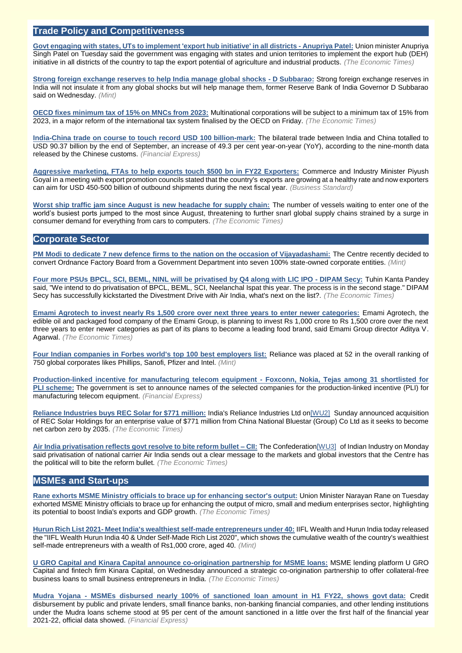# **Trade Policy and Competitiveness**

**[Govt engaging with states, UTs to implement 'export hub initiative' in all districts -](https://economictimes.indiatimes.com/small-biz/trade/exports/insights/govt-engaging-with-states-uts-to-implement-export-hub-initiative-in-all-districts-anupriya-patel/articleshow/86984134.cms) Anupriya Patel:** Union minister Anupriya Singh Patel on Tuesday said the government was engaging with states and union territories to implement the export hub (DEH) initiative in all districts of the country to tap the export potential of agriculture and industrial products. *(The Economic Times)*

**[Strong foreign exchange reserves to help India manage global shocks -](https://www.livemint.com/industry/banking/strong-foreign-exchange-reserves-to-help-india-manage-global-shocks-d-subbarao-11634138526231.html) D Subbarao:** Strong foreign exchange reserves in India will not insulate it from any global shocks but will help manage them, former Reserve Bank of India Governor D Subbarao said on Wednesday. *(Mint)*

**[OECD fixes minimum tax of 15% on MNCs from 2023:](https://economictimes.indiatimes.com/news/economy/policy/oecd-deal-mncs-will-be-subject-to-a-minimum-tax-of-15-from-2023/articleshow/86876192.cms)** Multinational corporations will be subject to a minimum tax of 15% from 2023, in a major reform of the international tax system finalised by the OECD on Friday. *(The Economic Times)*

**[India-China trade on course to touch record USD 100](https://www.financialexpress.com/economy/india-china-trade-on-course-to-touch-record-usd-100-billion-mark/2349477/) billion-mark:** The bilateral trade between India and China totalled to USD 90.37 billion by the end of September, an increase of 49.3 per cent year-on-year (YoY), according to the nine-month data released by the Chinese customs. *(Financial Express)*

**[Aggressive marketing, FTAs to help exports touch \\$500 bn in FY22 Exporters:](https://www.business-standard.com/article/economy-policy/aggressive-marketing-ftas-to-help-exports-touch-500-bn-in-fy22-exporters-121101000526_1.html)** Commerce and Industry Minister Piyush Goyal in a meeting with export promotion councils stated that the country's exports are growing at a healthy rate and now exporters can aim for USD 450-500 billion of outbound shipments during the next fiscal year. *(Business Standard)*

**[Worst ship traffic jam since August is new headache for supply chain:](https://economictimes.indiatimes.com/small-biz/trade/exports/insights/worst-ship-traffic-jam-since-august-is-new-headache-for-supply-chain/articleshow/86983714.cms)** The number of vessels waiting to enter one of the world's busiest ports jumped to the most since August, threatening to further snarl global supply chains strained by a surge in consumer demand for everything from cars to computers. *(The Economic Times)*

# **Corporate Sector**

**[PM Modi to dedicate 7 new defence firms to the nation on the occasion of Vijayadashami:](https://www.livemint.com/news/india/pm-modi-to-dedicate-7-new-defence-firms-on-the-occasion-of-vijayadashami-11634215240796.html)** The Centre recently decided to convert Ordnance Factory Board from a Government Department into seven 100% state-owned corporate entities. *(Mint)*

**[Four more PSUs BPCL, SCI, BEML, NINL will be privatised by Q4 along with LIC IPO -](https://economictimes.indiatimes.com/news/economy/policy/four-more-psus-bpcl-sci-beml-ninl-will-be-privatised-by-q4-along-with-lic-ipo-dipam-secy/videoshow/86890348.cms) DIPAM Secy:** Tuhin Kanta Pandey said, "We intend to do privatisation of BPCL, BEML, SCI, Neelanchal Ispat this year. The process is in the second stage." DIPAM Secy has successfully kickstarted the Divestment Drive with Air India, what's next on the list?. *(The Economic Times)*

**[Emami Agrotech to invest nearly Rs 1,500 crore over next three years to enter newer categories:](https://economictimes.indiatimes.com/industry/cons-products/food/emami-agrotech-to-invest-nearly-rs-1500-crore-over-next-three-years-to-enter-newer-categories/articleshow/86841469.cms)** Emami Agrotech, the edible oil and packaged food company of the Emami Group, is planning to invest Rs 1,000 crore to Rs 1,500 crore over the next three years to enter newer categories as part of its plans to become a leading food brand, said Emami Group director Aditya V. Agarwal. *(The Economic Times)*

**[Four Indian companies in Forbes world's top 100 best employers list:](https://www.livemint.com/companies/news/four-indian-companies-in-forbes-world-s-top-100-best-employers-list-11634202718780.html)** Reliance was placed at 52 in the overall ranking of 750 global corporates likes Phillips, Sanofi, Pfizer and Intel. *(Mint)*

**[Production-linked incentive for manufacturing telecom equipment -](https://www.financialexpress.com/industry/production-linked-incentive-for-manufacturing-telecom-equipment-foxconn-nokia-tejas-among-31-shortlisted-for-pli-scheme/2349533/) Foxconn, Nokia, Tejas among 31 shortlisted for PLI [scheme:](https://www.financialexpress.com/industry/production-linked-incentive-for-manufacturing-telecom-equipment-foxconn-nokia-tejas-among-31-shortlisted-for-pli-scheme/2349533/)** The government is set to announce names of the selected companies for the production-linked incentive (PLI) for manufacturing telecom equipment. *(Financial Express)*

**[Reliance Industries buys REC Solar for \\$771 million:](https://energy.economictimes.indiatimes.com/news/oil-and-gas/indias-reliance-industries-buys-rec-solar-for-771-million/86910668)** India's Reliance Industries Ltd o[n\[WU2\]](file:///C:/Users/Director/Desktop/Industry%20Matters/Draft%20-%20Industry%20Matters%20%20October%2015,%202021.docx%23_msocom_2) Sunday announced acquisition of REC Solar Holdings for an enterprise value of \$771 million from China National Bluestar (Group) Co Ltd as it seeks to become net carbon zero by 2035. *(The Economic Times)*

**[Air India privatisation reflects govt resolve to bite reform bullet –](https://economictimes.indiatimes.com/news/economy/policy/air-india-privatisation-reflects-govt-resolve-to-bite-reform-bullet-cii/articleshow/86939652.cms) CII:** The Confederatio[n\[WU3\]](file:///C:/Users/Director/Desktop/Industry%20Matters/Draft%20-%20Industry%20Matters%20%20October%2015,%202021.docx%23_msocom_3) of Indian Industry on Monday said privatisation of national carrier Air India sends out a clear message to the markets and global investors that the Centre has the political will to bite the reform bullet. *(The Economic Times)*

# **MSMEs and Start-ups**

**[Rane exhorts MSME Ministry officials to brace up for enhancing sector's output:](https://economictimes.indiatimes.com/small-biz/sme-sector/rane-exhorts-msme-ministry-officials-to-brace-up-for-enhancing-sectors-output/articleshow/86983916.cms)** Union Minister Narayan Rane on Tuesday exhorted MSME Ministry officials to brace up for enhancing the output of micro, small and medium enterprises sector, highlighting its potential to boost India's exports and GDP growth. *(The Economic Times)*

**Hurun Rich List 2021- [Meet India's wealthiest self-made entrepreneurs under 40:](https://www.livemint.com/companies/start-ups/hurun-india-rich-list-2021-meet-india-wealthiest-self-made-entrepreneurs-under-40-11634111210851.html)** IIFL Wealth and Hurun India today released the "IIFL Wealth Hurun India 40 & Under Self-Made Rich List 2020", which shows the cumulative wealth of the country's wealthiest self-made entrepreneurs with a wealth of Rs1,000 crore, aged 40. *(Mint)*

**[U GRO Capital and Kinara Capital announce co-origination partnership for MSME loans:](https://economictimes.indiatimes.com/small-biz/sme-sector/u-gro-capital-and-kinara-capital-announce-co-origination-partnership-for-msme-loans/articleshow/86988010.cms)** MSME lending platform U GRO Capital and fintech firm Kinara Capital, on Wednesday announced a strategic co-origination partnership to offer collateral-free business loans to small business entrepreneurs in India. *(The Economic Times)*

**Mudra Yojana - [MSMEs disbursed nearly 100% of sanctioned loan amount in H1 FY22, shows govt](https://www.financialexpress.com/industry/sme/msme-fin-mudra-loans-banks-disburse-nearly-100-of-sanctioned-amount-in-h1-fy22-even-as-npa-concerns-linger/2348918/) data:** Credit disbursement by public and private lenders, small finance banks, non-banking financial companies, and other lending institutions under the Mudra loans scheme stood at 95 per cent of the amount sanctioned in a little over the first half of the financial year 2021-22, official data showed. *(Financial Express)*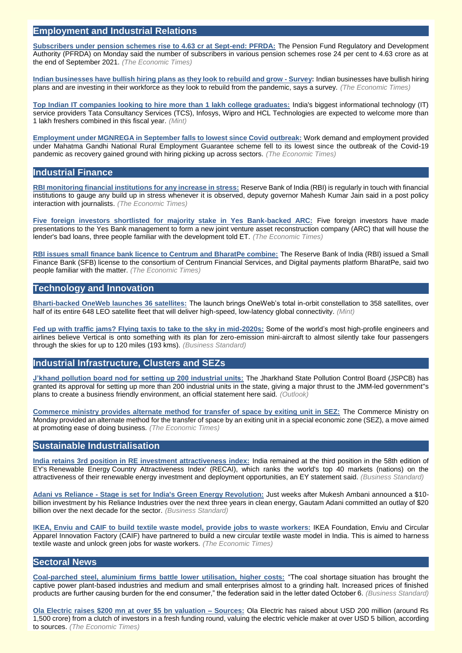#### **Employment and Industrial Relations**

**[Subscribers under pension schemes rise to 4.63 cr at Sept-end: PFRDA:](https://economictimes.indiatimes.com/news/economy/indicators/subscribers-under-pension-schemes-rise-to-4-63-cr-at-sept-end-pfrda/articleshow/86944719.cms)** The Pension Fund Regulatory and Development Authority (PFRDA) on Monday said the number of subscribers in various pension schemes rose 24 per cent to 4.63 crore as at the end of September 2021. *(The Economic Times)*

**[Indian businesses have bullish hiring plans as they look to rebuild and grow -](https://economictimes.indiatimes.com/jobs/indian-businesses-have-bullish-hiring-plans-as-they-look-to-rebuild-and-grow-survey/articleshow/86938614.cms) Survey:** Indian businesses have bullish hiring plans and are investing in their workforce as they look to rebuild from the pandemic, says a survey. *(The Economic Times)*

**[Top Indian IT companies looking to hire more than 1 lakh college graduates:](https://www.livemint.com/companies/people/tcs-infosys-wipro-hcl-tech-to-hire-more-than-1-lakh-freshers-11634272287844.html)** India's biggest informational technology (IT) service providers Tata Consultancy Services (TCS), Infosys, Wipro and HCL Technologies are expected to welcome more than 1 lakh freshers combined in this fiscal year. *(Mint)*

**[Employment under MGNREGA in September falls to lowest since Covid outbreak:](https://economictimes.indiatimes.com/news/economy/indicators/employment-under-mgnrega-in-september-falls-to-lowest-since-covid-outbreak/articleshow/87013482.cms)** Work demand and employment provided under Mahatma Gandhi National Rural Employment Guarantee scheme fell to its lowest since the outbreak of the Covid-19 pandemic as recovery gained ground with hiring picking up across sectors. *(The Economic Times)*

# **Industrial Finance**

**[RBI monitoring financial institutions for any increase in stress:](https://economictimes.indiatimes.com/news/economy/policy/rbi-monitoring-financial-institutions-for-any-increase-in-stress/articleshow/86865338.cms)** Reserve Bank of India (RBI) is regularly in touch with financial institutions to gauge any build up in stress whenever it is observed, deputy governor Mahesh Kumar Jain said in a post policy interaction with journalists. *(The Economic Times)*

**[Five foreign investors shortlisted for majority stake in Yes Bank-backed ARC:](https://economictimes.indiatimes.com/industry/banking/finance/banking/five-foreign-investors-shortlisted-for-majority-stake-in-yes-bank-backed-arc/articleshow/86962601.cms)** Five foreign investors have made presentations to the Yes Bank management to form a new joint venture asset reconstruction company (ARC) that will house the lender's bad loans, three people familiar with the development told ET. *(The Economic Times)*

**[RBI issues small finance bank licence to Centrum and BharatPe combine:](https://economictimes.indiatimes.com/industry/banking/finance/rbi-issues-small-finance-bank-licence-to-centrum-and-bharatpe-combine/articleshow/86968439.cms)** The Reserve Bank of India (RBI) issued a Small Finance Bank (SFB) license to the consortium of Centrum Financial Services, and Digital payments platform BharatPe, said two people familiar with the matter. *(The Economic Times)*

# **Technology and Innovation**

**[Bharti-backed OneWeb launches 36 satellites:](https://www.livemint.com/companies/news/bhartibacked-oneweb-launches-36-satellites-11634211791984.html)** The launch brings OneWeb's total in-orbit constellation to 358 satellites, over half of its entire 648 LEO satellite fleet that will deliver high-speed, low-latency global connectivity. *(Mint)*

**[Fed up with traffic jams? Flying taxis to take to the sky in mid-2020s:](https://www.business-standard.com/article/technology/fed-up-with-traffic-jams-flying-taxis-to-take-to-the-sky-in-mid-2020s-121101301435_1.html)** Some of the world's most high-profile engineers and airlines believe Vertical is onto something with its plan for zero-emission mini-aircraft to almost silently take four passengers through the skies for up to 120 miles (193 kms). *(Business Standard)*

# **Industrial Infrastructure, Clusters and SEZs**

**[J'khand pollution board nod for setting up 200 industrial units:](https://www.outlookindia.com/newsscroll/jkhand-pollution-board-nod-for-setting-up-200-industrial-units/2175262)** The Jharkhand State Pollution Control Board (JSPCB) has granted its approval for setting up more than 200 industrial units in the state, giving a major thrust to the JMM-led government''s plans to create a business friendly environment, an official statement here said. *(Outlook)*

**[Commerce ministry provides alternate method for transfer of space by exiting unit in SEZ:](https://economictimes.indiatimes.com/news/economy/policy/commerce-ministry-provides-alternate-method-for-transfer-of-space-by-exiting-unit-in-sez/articleshow/86947604.cms)** The Commerce Ministry on Monday provided an alternate method for the transfer of space by an exiting unit in a special economic zone (SEZ), a move aimed at promoting ease of doing business. *(The Economic Times)*

# **Sustainable Industrialisation**

**[India retains 3rd position in RE investment attractiveness index:](https://www.business-standard.com/article/economy-policy/india-retains-3rd-position-in-re-investment-attractiveness-index-121101300665_1.html)** India remained at the third position in the 58th edition of EY's Renewable Energy Country Attractiveness Index' (RECAI), which ranks the world's top 40 markets (nations) on the attractiveness of their renewable energy investment and deployment opportunities, an EY statement said. *(Business Standard)*

**Adani vs Reliance - [Stage is set for India's Green Energy Revolution:](https://www.business-standard.com/podcast/companies/adani-vs-reliance-stage-is-set-for-india-s-green-energy-revolution-121101300376_1.html)** Just weeks after Mukesh Ambani announced a \$10 billion investment by his Reliance Industries over the next three years in clean energy, Gautam Adani committed an outlay of \$20 billion over the next decade for the sector. *(Business Standard)*

**[IKEA, Enviu and CAIF to build textile waste model, provide jobs to waste workers:](https://economictimes.indiatimes.com/small-biz/sme-sector/ikea-enviu-and-caif-to-build-textile-waste-model-provide-jobs-to-waste-workers/articleshow/87017929.cms)** IKEA Foundation, Enviu and Circular Apparel Innovation Factory (CAIF) have partnered to build a new circular textile waste model in India. This is aimed to harness textile waste and unlock green jobs for waste workers. *(The Economic Times)*

# **Sectoral News**

**[Coal-parched steel, aluminium firms battle lower utilisation, higher costs:](https://www.business-standard.com/article/economy-policy/coal-parched-steel-aluminium-firms-battle-lower-utilisation-higher-costs-121100701098_1.html)** "The coal shortage situation has brought the captive power plant-based industries and medium and small enterprises almost to a grinding halt. Increased prices of finished products are further causing burden for the end consumer," the federation said in the letter dated October 6. *(Business Standard)*

**[Ola Electric raises \\$200 mn at over \\$5 bn valuation –](https://auto.economictimes.indiatimes.com/news/two-wheelers/ola-electric-raises-200-mn-at-over-5-bn-valuation-sources/86872969) Sources:** Ola Electric has raised about USD 200 million (around Rs 1,500 crore) from a clutch of investors in a fresh funding round, valuing the electric vehicle maker at over USD 5 billion, according to sources. *(The Economic Times)*